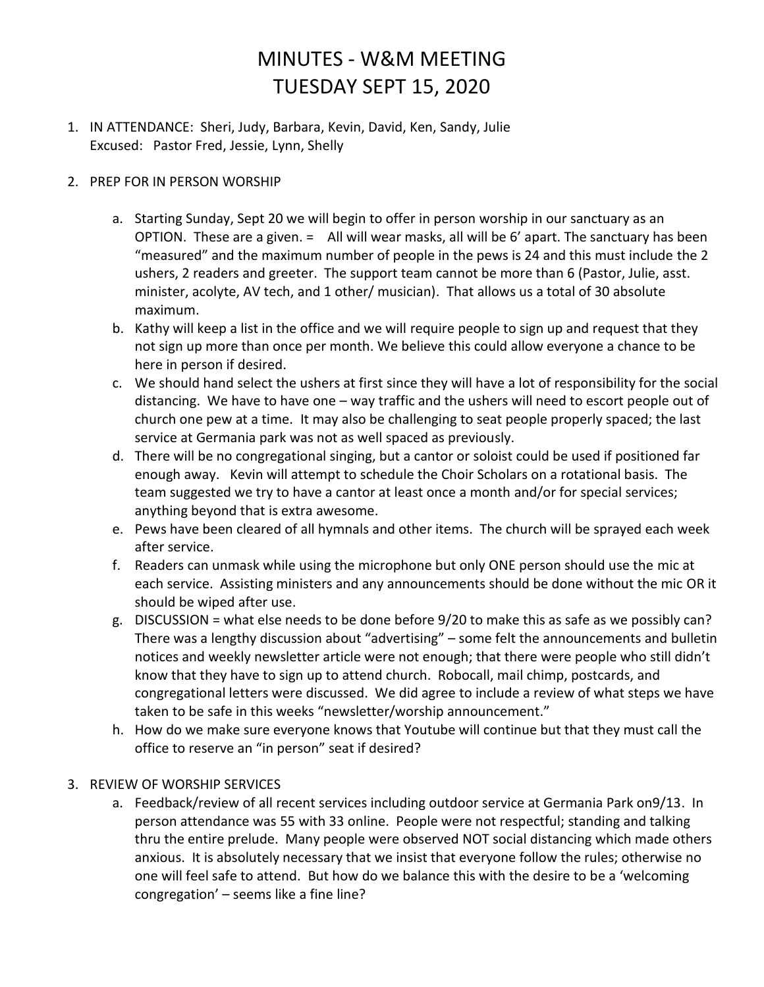## MINUTES - W&M MEETING TUESDAY SEPT 15, 2020

- 1. IN ATTENDANCE: Sheri, Judy, Barbara, Kevin, David, Ken, Sandy, Julie Excused: Pastor Fred, Jessie, Lynn, Shelly
- 2. PREP FOR IN PERSON WORSHIP
	- a. Starting Sunday, Sept 20 we will begin to offer in person worship in our sanctuary as an OPTION. These are a given. = All will wear masks, all will be 6' apart. The sanctuary has been "measured" and the maximum number of people in the pews is 24 and this must include the 2 ushers, 2 readers and greeter. The support team cannot be more than 6 (Pastor, Julie, asst. minister, acolyte, AV tech, and 1 other/ musician). That allows us a total of 30 absolute maximum.
	- b. Kathy will keep a list in the office and we will require people to sign up and request that they not sign up more than once per month. We believe this could allow everyone a chance to be here in person if desired.
	- c. We should hand select the ushers at first since they will have a lot of responsibility for the social distancing. We have to have one – way traffic and the ushers will need to escort people out of church one pew at a time. It may also be challenging to seat people properly spaced; the last service at Germania park was not as well spaced as previously.
	- d. There will be no congregational singing, but a cantor or soloist could be used if positioned far enough away. Kevin will attempt to schedule the Choir Scholars on a rotational basis. The team suggested we try to have a cantor at least once a month and/or for special services; anything beyond that is extra awesome.
	- e. Pews have been cleared of all hymnals and other items. The church will be sprayed each week after service.
	- f. Readers can unmask while using the microphone but only ONE person should use the mic at each service. Assisting ministers and any announcements should be done without the mic OR it should be wiped after use.
	- g. DISCUSSION = what else needs to be done before 9/20 to make this as safe as we possibly can? There was a lengthy discussion about "advertising" – some felt the announcements and bulletin notices and weekly newsletter article were not enough; that there were people who still didn't know that they have to sign up to attend church. Robocall, mail chimp, postcards, and congregational letters were discussed. We did agree to include a review of what steps we have taken to be safe in this weeks "newsletter/worship announcement."
	- h. How do we make sure everyone knows that Youtube will continue but that they must call the office to reserve an "in person" seat if desired?
- 3. REVIEW OF WORSHIP SERVICES
	- a. Feedback/review of all recent services including outdoor service at Germania Park on9/13. In person attendance was 55 with 33 online. People were not respectful; standing and talking thru the entire prelude. Many people were observed NOT social distancing which made others anxious. It is absolutely necessary that we insist that everyone follow the rules; otherwise no one will feel safe to attend. But how do we balance this with the desire to be a 'welcoming congregation' – seems like a fine line?